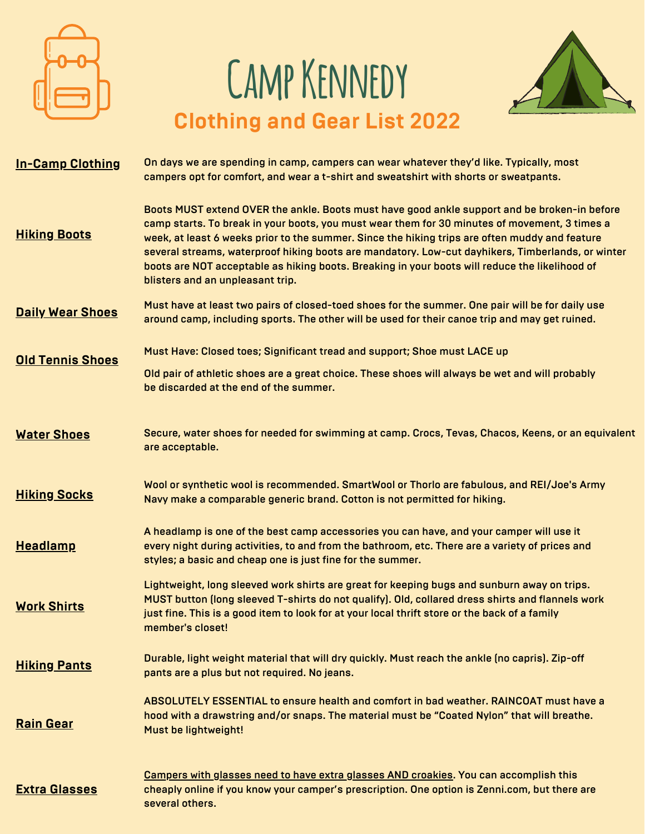

## **Camp Kennedy Clothing and Gear List 2022**



| <b>In-Camp Clothing</b> | On days we are spending in camp, campers can wear whatever they'd like. Typically, most<br>campers opt for comfort, and wear a t-shirt and sweatshirt with shorts or sweatpants.                                                                                                                                                                                                                                                                                                                                                           |
|-------------------------|--------------------------------------------------------------------------------------------------------------------------------------------------------------------------------------------------------------------------------------------------------------------------------------------------------------------------------------------------------------------------------------------------------------------------------------------------------------------------------------------------------------------------------------------|
| <b>Hiking Boots</b>     | Boots MUST extend OVER the ankle. Boots must have good ankle support and be broken-in before<br>camp starts. To break in your boots, you must wear them for 30 minutes of movement, 3 times a<br>week, at least 6 weeks prior to the summer. Since the hiking trips are often muddy and feature<br>several streams, waterproof hiking boots are mandatory. Low-cut dayhikers, Timberlands, or winter<br>boots are NOT acceptable as hiking boots. Breaking in your boots will reduce the likelihood of<br>blisters and an unpleasant trip. |
| <b>Daily Wear Shoes</b> | Must have at least two pairs of closed-toed shoes for the summer. One pair will be for daily use<br>around camp, including sports. The other will be used for their canoe trip and may get ruined.                                                                                                                                                                                                                                                                                                                                         |
|                         | Must Have: Closed toes; Significant tread and support; Shoe must LACE up                                                                                                                                                                                                                                                                                                                                                                                                                                                                   |
| <b>Old Tennis Shoes</b> | Old pair of athletic shoes are a great choice. These shoes will always be wet and will probably<br>be discarded at the end of the summer.                                                                                                                                                                                                                                                                                                                                                                                                  |
| <b>Water Shoes</b>      | Secure, water shoes for needed for swimming at camp. Crocs, Tevas, Chacos, Keens, or an equivalent<br>are acceptable.                                                                                                                                                                                                                                                                                                                                                                                                                      |
| <b>Hiking Socks</b>     | Wool or synthetic wool is recommended. SmartWool or Thorlo are fabulous, and REI/Joe's Army<br>Navy make a comparable generic brand. Cotton is not permitted for hiking.                                                                                                                                                                                                                                                                                                                                                                   |
| <b>Headlamp</b>         | A headlamp is one of the best camp accessories you can have, and your camper will use it<br>every night during activities, to and from the bathroom, etc. There are a variety of prices and<br>styles; a basic and cheap one is just fine for the summer.                                                                                                                                                                                                                                                                                  |
| <b>Work Shirts</b>      | Lightweight, long sleeved work shirts are great for keeping bugs and sunburn away on trips.<br>MUST button (long sleeved T-shirts do not qualify). Old, collared dress shirts and flannels work<br>just fine. This is a good item to look for at your local thrift store or the back of a family<br>member's closet!                                                                                                                                                                                                                       |
| <b>Hiking Pants</b>     | Durable, light weight material that will dry quickly. Must reach the ankle (no capris). Zip-off<br>pants are a plus but not required. No jeans.                                                                                                                                                                                                                                                                                                                                                                                            |
| <b>Rain Gear</b>        | ABSOLUTELY ESSENTIAL to ensure health and comfort in bad weather. RAINCOAT must have a<br>hood with a drawstring and/or snaps. The material must be "Coated Nylon" that will breathe.<br>Must be lightweight!                                                                                                                                                                                                                                                                                                                              |
| <b>Extra Glasses</b>    | <b>Campers with glasses need to have extra glasses AND croakies. You can accomplish this</b><br>cheaply online if you know your camper's prescription. One option is Zenni.com, but there are<br>several others.                                                                                                                                                                                                                                                                                                                           |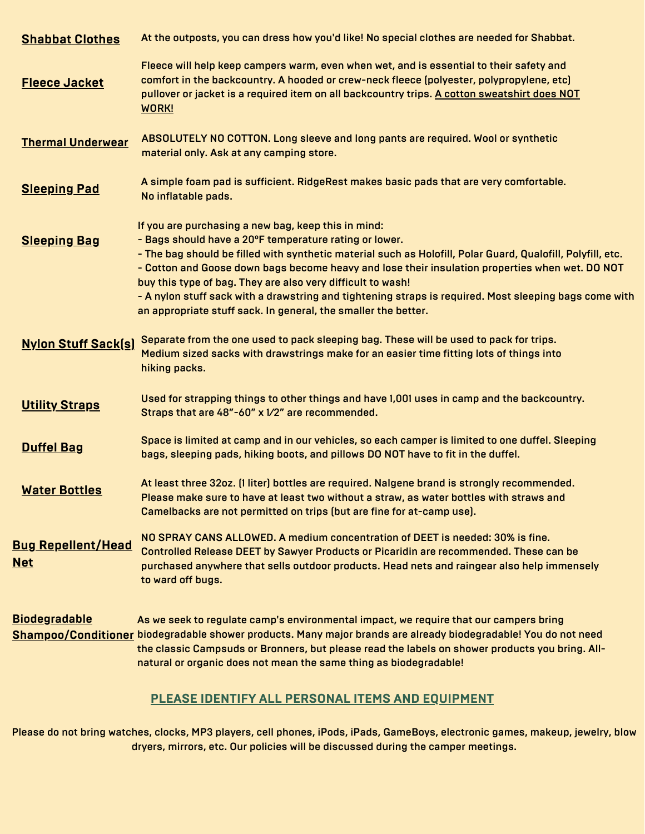| <b>Shabbat Clothes</b>                  | At the outposts, you can dress how you'd like! No special clothes are needed for Shabbat.                                                                                                                                                                                                                                                                                                                                                                                                                                                                                  |
|-----------------------------------------|----------------------------------------------------------------------------------------------------------------------------------------------------------------------------------------------------------------------------------------------------------------------------------------------------------------------------------------------------------------------------------------------------------------------------------------------------------------------------------------------------------------------------------------------------------------------------|
| <b>Fleece Jacket</b>                    | Fleece will help keep campers warm, even when wet, and is essential to their safety and<br>comfort in the backcountry. A hooded or crew-neck fleece (polyester, polypropylene, etc)<br>pullover or jacket is a required item on all backcountry trips. A cotton sweatshirt does NOT<br><b>WORK!</b>                                                                                                                                                                                                                                                                        |
| <b>Thermal Underwear</b>                | ABSOLUTELY NO COTTON. Long sleeve and long pants are required. Wool or synthetic<br>material only. Ask at any camping store.                                                                                                                                                                                                                                                                                                                                                                                                                                               |
| <b>Sleeping Pad</b>                     | A simple foam pad is sufficient. RidgeRest makes basic pads that are very comfortable.<br>No inflatable pads.                                                                                                                                                                                                                                                                                                                                                                                                                                                              |
| <b>Sleeping Bag</b>                     | If you are purchasing a new bag, keep this in mind:<br>- Bags should have a 20°F temperature rating or lower.<br>- The bag should be filled with synthetic material such as Holofill, Polar Guard, Qualofill, Polyfill, etc.<br>- Cotton and Goose down bags become heavy and lose their insulation properties when wet. DO NOT<br>buy this type of bag. They are also very difficult to wash!<br>- A nylon stuff sack with a drawstring and tightening straps is required. Most sleeping bags come with<br>an appropriate stuff sack. In general, the smaller the better. |
| <b>Nylon Stuff Sack(s)</b>              | Separate from the one used to pack sleeping bag. These will be used to pack for trips.<br>Medium sized sacks with drawstrings make for an easier time fitting lots of things into<br>hiking packs.                                                                                                                                                                                                                                                                                                                                                                         |
| <b>Utility Straps</b>                   | Used for strapping things to other things and have 1,001 uses in camp and the backcountry.<br>Straps that are 48"-60" x 1/2" are recommended.                                                                                                                                                                                                                                                                                                                                                                                                                              |
| <b>Duffel Bag</b>                       | Space is limited at camp and in our vehicles, so each camper is limited to one duffel. Sleeping<br>bags, sleeping pads, hiking boots, and pillows DO NOT have to fit in the duffel.                                                                                                                                                                                                                                                                                                                                                                                        |
| <b>Water Bottles</b>                    | At least three 32oz. (1 liter) bottles are required. Nalgene brand is strongly recommended.<br>Please make sure to have at least two without a straw, as water bottles with straws and<br>Camelbacks are not permitted on trips (but are fine for at-camp use).                                                                                                                                                                                                                                                                                                            |
| <b>Bug Repellent/Head</b><br><b>Net</b> | NO SPRAY CANS ALLOWED. A medium concentration of DEET is needed: 30% is fine.<br>Controlled Release DEET by Sawyer Products or Picaridin are recommended. These can be<br>purchased anywhere that sells outdoor products. Head nets and raingear also help immensely<br>to ward off bugs.                                                                                                                                                                                                                                                                                  |
| <b>Biodegradable</b>                    | As we seek to regulate camp's environmental impact, we require that our campers bring<br>Shampoo/Conditioner biodegradable shower products. Many major brands are already biodegradable! You do not need<br>the classic Campsuds or Bronners, but please read the labels on shower products you bring. All-<br>natural or organic does not mean the same thing as biodegradable!                                                                                                                                                                                           |
|                                         | <b>PLEASE IDENTIFY ALL PERSONAL ITEMS AND EQUIPMENT</b>                                                                                                                                                                                                                                                                                                                                                                                                                                                                                                                    |

Please do not bring watches, clocks, MP3 players, cell phones, iPods, iPads, GameBoys, electronic games, makeup, jewelry, blow dryers, mirrors, etc. Our policies will be discussed during the camper meetings.